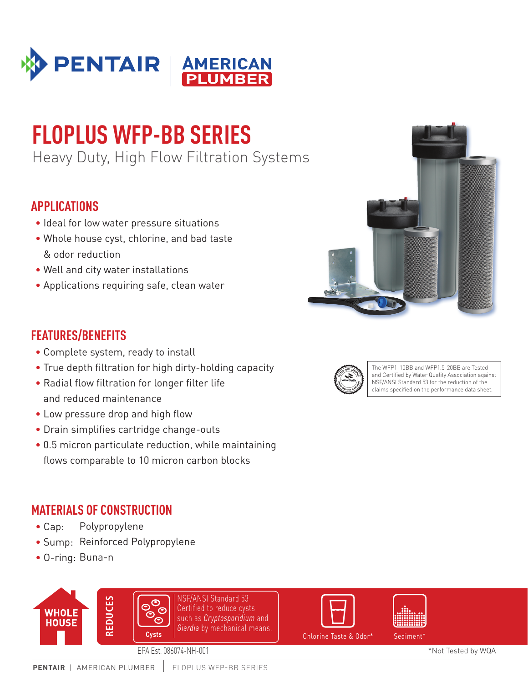

# **FLOPLUS WFP-BB SERIES**

Heavy Duty, High Flow Filtration Systems

## **APPLICATIONS**

- Ideal for low water pressure situations
- Whole house cyst, chlorine, and bad taste & odor reduction
- Well and city water installations
- Applications requiring safe, clean water

### **FEATURES/BENEFITS**

- Complete system, ready to install
- True depth filtration for high dirty-holding capacity
- Radial flow filtration for longer filter life and reduced maintenance
- Low pressure drop and high flow
- Drain simplifies cartridge change-outs
- 0.5 micron particulate reduction, while maintaining flows comparable to 10 micron carbon blocks

#### **MATERIALS OF CONSTRUCTION**

- Cap: Polypropylene
- Sump: Reinforced Polypropylene
- O-ring: Buna-n





The WFP1-10BB and WFP1.5-20BB are Tested and Certified by Water Quality Association against NSF/ANSI Standard 53 for the reduction of the claims specified on the performance data sheet.